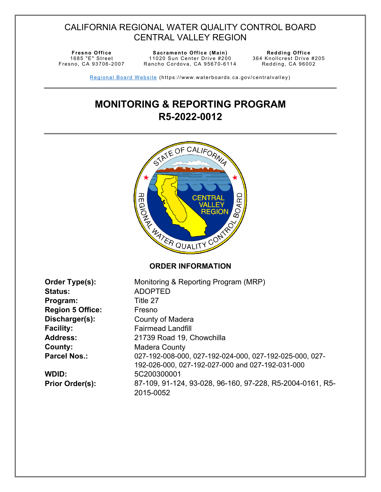# CALIFORNIA REGIONAL WATER QUALITY CONTROL BOARD CENTRAL VALLEY REGION

1685 "E" Street Fresno, CA 93706-2007

**Fresno Office CE Sacramento Office** (Main) 11020 Sun Center Drive #200 Rancho Cordova, CA 95670-6114 Redding Office<br>364 Knollcrest Drive #205 Redding, CA 96002

Regional Board Website (https://www.waterboards.ca.gov/centralvalley)

# **MONITORING & REPORTING PROGRAM R5-2022-0012**



| Order Type(s):          | Monitoring & Reporting Program (MRP)                      |
|-------------------------|-----------------------------------------------------------|
| <b>Status:</b>          | <b>ADOPTED</b>                                            |
| Program:                | Title 27                                                  |
| <b>Region 5 Office:</b> | Fresno                                                    |
| Discharger(s):          | County of Madera                                          |
| <b>Facility:</b>        | <b>Fairmead Landfill</b>                                  |
| <b>Address:</b>         | 21739 Road 19, Chowchilla                                 |
| County:                 | <b>Madera County</b>                                      |
| <b>Parcel Nos.:</b>     | 027-192-008-000, 027-192-024-000, 027-192-025-000, 027-   |
|                         | 192-026-000, 027-192-027-000 and 027-192-031-000          |
| WDID:                   | 5C200300001                                               |
| <b>Prior Order(s):</b>  | 87-109, 91-124, 93-028, 96-160, 97-228, R5-2004-0161, R5- |
|                         | 2015-0052                                                 |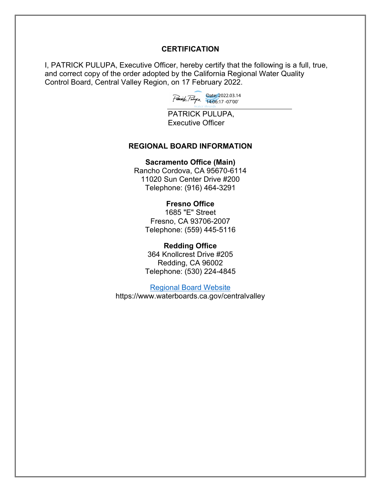#### **CERTIFICATION**

I, PATRICK PULUPA, Executive Officer, hereby certify that the following is a full, true, and correct copy of the order adopted by the California Regional Water Quality Control Board, Central Valley Region, on 17 February 2022.



PATRICK PULUPA, Executive Officer

#### **REGIONAL BOARD INFORMATION**

#### **Sacramento Office (Main)**

Rancho Cordova, CA 95670-6114 11020 Sun Center Drive #200 Telephone: (916) 464-3291

#### **Fresno Office**

1685 "E" Street Fresno, CA 93706-2007 Telephone: (559) 445-5116

#### **Redding Office**

364 Knollcrest Drive #205 Redding, CA 96002 Telephone: (530) 224-4845

[Regional Board Website](https://www.waterboards.ca.gov/centralvalley/) https://www.waterboards.ca.gov/centralvalley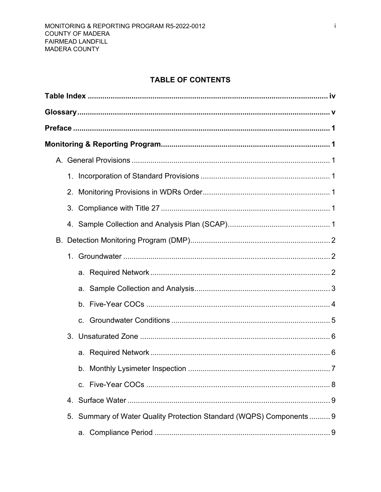# **TABLE OF CONTENTS**

| 2. |                                                                      |  |
|----|----------------------------------------------------------------------|--|
|    |                                                                      |  |
|    |                                                                      |  |
|    |                                                                      |  |
| 1. |                                                                      |  |
|    |                                                                      |  |
|    |                                                                      |  |
|    |                                                                      |  |
|    |                                                                      |  |
|    |                                                                      |  |
|    |                                                                      |  |
|    | $\ldots \ldots \ldots$ 7                                             |  |
|    |                                                                      |  |
|    |                                                                      |  |
|    | 5. Summary of Water Quality Protection Standard (WQPS) Components  9 |  |
|    |                                                                      |  |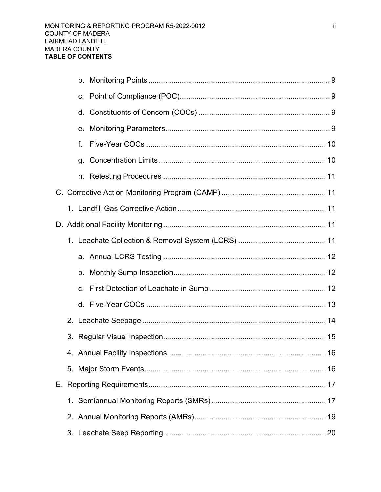|    | f. |  |
|----|----|--|
|    | g. |  |
|    |    |  |
|    |    |  |
|    |    |  |
|    |    |  |
|    |    |  |
|    |    |  |
|    |    |  |
|    |    |  |
|    |    |  |
| 2. |    |  |
|    |    |  |
|    |    |  |
|    |    |  |
|    |    |  |
|    |    |  |
|    |    |  |
|    |    |  |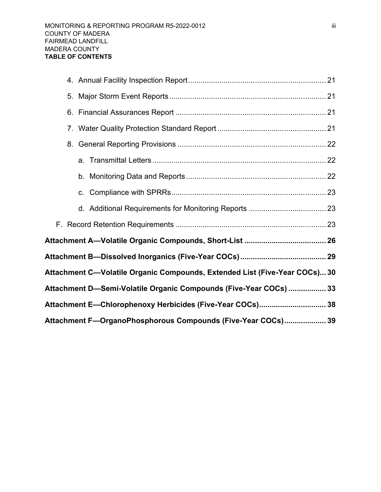| 8.                                                                         |  |
|----------------------------------------------------------------------------|--|
|                                                                            |  |
|                                                                            |  |
|                                                                            |  |
|                                                                            |  |
|                                                                            |  |
|                                                                            |  |
|                                                                            |  |
| Attachment C—Volatile Organic Compounds, Extended List (Five-Year COCs) 30 |  |
| Attachment D-Semi-Volatile Organic Compounds (Five-Year COCs)  33          |  |
| Attachment E—Chlorophenoxy Herbicides (Five-Year COCs) 38                  |  |
| Attachment F-OrganoPhosphorous Compounds (Five-Year COCs) 39               |  |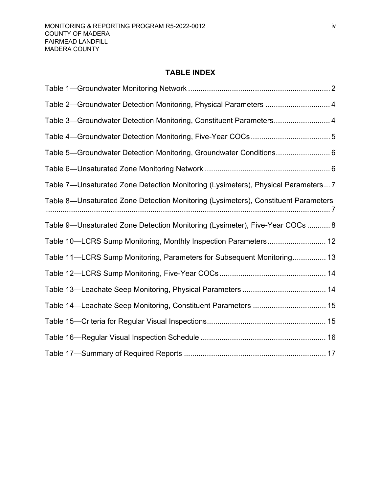### **TABLE INDEX**

<span id="page-5-0"></span>

| Table 2-Groundwater Detection Monitoring, Physical Parameters  4                   |
|------------------------------------------------------------------------------------|
| Table 3-Groundwater Detection Monitoring, Constituent Parameters 4                 |
|                                                                                    |
| Table 5—Groundwater Detection Monitoring, Groundwater Conditions 6                 |
|                                                                                    |
| Table 7—Unsaturated Zone Detection Monitoring (Lysimeters), Physical Parameters 7  |
| Table 8—Unsaturated Zone Detection Monitoring (Lysimeters), Constituent Parameters |
| Table 9-Unsaturated Zone Detection Monitoring (Lysimeter), Five-Year COCs  8       |
| Table 10—LCRS Sump Monitoring, Monthly Inspection Parameters 12                    |
| Table 11—LCRS Sump Monitoring, Parameters for Subsequent Monitoring 13             |
|                                                                                    |
|                                                                                    |
| Table 14-Leachate Seep Monitoring, Constituent Parameters  15                      |
|                                                                                    |
|                                                                                    |
|                                                                                    |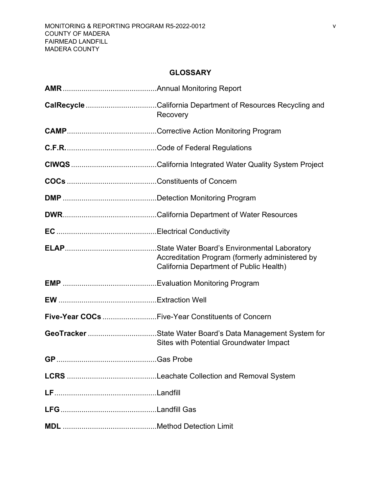### **GLOSSARY**

<span id="page-6-0"></span>

| CalRecycle California Department of Resources Recycling and<br>Recovery                                     |
|-------------------------------------------------------------------------------------------------------------|
|                                                                                                             |
|                                                                                                             |
|                                                                                                             |
|                                                                                                             |
|                                                                                                             |
|                                                                                                             |
|                                                                                                             |
| Accreditation Program (formerly administered by<br>California Department of Public Health)                  |
|                                                                                                             |
|                                                                                                             |
| Five-Year COCs Five-Year Constituents of Concern                                                            |
| GeoTracker State Water Board's Data Management System for<br><b>Sites with Potential Groundwater Impact</b> |
|                                                                                                             |
|                                                                                                             |
|                                                                                                             |
|                                                                                                             |
|                                                                                                             |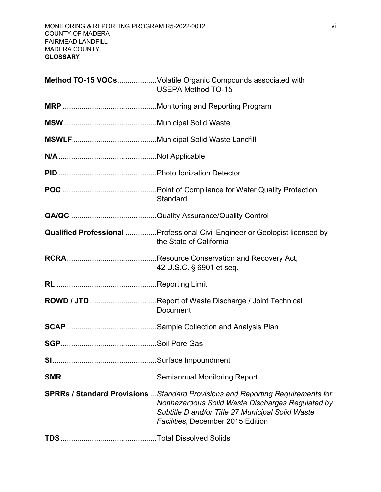| Method TO-15 VOCsVolatile Organic Compounds associated with<br><b>USEPA Method TO-15</b>                                                                                                                                           |
|------------------------------------------------------------------------------------------------------------------------------------------------------------------------------------------------------------------------------------|
|                                                                                                                                                                                                                                    |
|                                                                                                                                                                                                                                    |
|                                                                                                                                                                                                                                    |
|                                                                                                                                                                                                                                    |
|                                                                                                                                                                                                                                    |
| Standard                                                                                                                                                                                                                           |
|                                                                                                                                                                                                                                    |
| <b>Qualified Professional </b> Professional Civil Engineer or Geologist licensed by<br>the State of California                                                                                                                     |
| 42 U.S.C. § 6901 et seq.                                                                                                                                                                                                           |
|                                                                                                                                                                                                                                    |
| ROWD / JTD Report of Waste Discharge / Joint Technical<br><b>Document</b>                                                                                                                                                          |
|                                                                                                                                                                                                                                    |
|                                                                                                                                                                                                                                    |
|                                                                                                                                                                                                                                    |
|                                                                                                                                                                                                                                    |
| <b>SPRRs / Standard Provisions</b> Standard Provisions and Reporting Requirements for<br>Nonhazardous Solid Waste Discharges Regulated by<br>Subtitle D and/or Title 27 Municipal Solid Waste<br>Facilities, December 2015 Edition |
|                                                                                                                                                                                                                                    |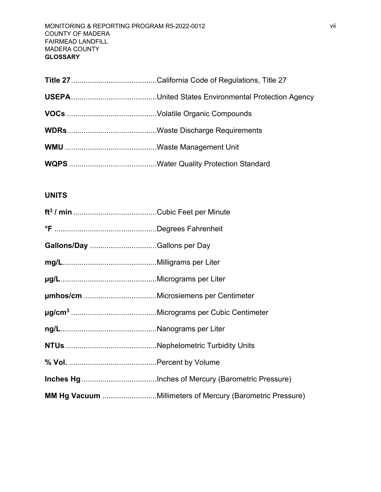### **UNITS**

| Gallons/Day Gallons per Day |                                                           |
|-----------------------------|-----------------------------------------------------------|
|                             |                                                           |
|                             |                                                           |
|                             |                                                           |
|                             |                                                           |
|                             |                                                           |
|                             |                                                           |
|                             |                                                           |
|                             |                                                           |
|                             | MM Hg Vacuum Millimeters of Mercury (Barometric Pressure) |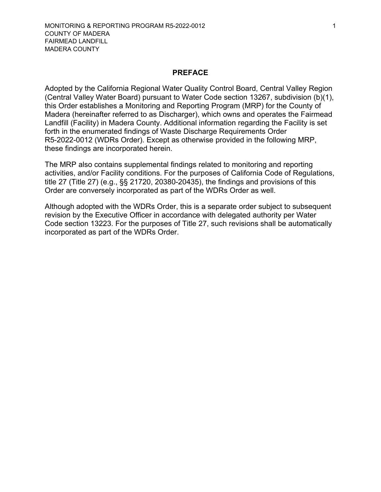#### **PREFACE**

<span id="page-9-0"></span>Adopted by the California Regional Water Quality Control Board, Central Valley Region (Central Valley Water Board) pursuant to Water Code section 13267, subdivision (b)(1), this Order establishes a Monitoring and Reporting Program (MRP) for the County of Madera (hereinafter referred to as Discharger), which owns and operates the Fairmead Landfill (Facility) in Madera County. Additional information regarding the Facility is set forth in the enumerated findings of Waste Discharge Requirements Order R5-2022-0012 (WDRs Order). Except as otherwise provided in the following MRP, these findings are incorporated herein.

The MRP also contains supplemental findings related to monitoring and reporting activities, and/or Facility conditions. For the purposes of California Code of Regulations, title 27 (Title 27) (e.g., §§ 21720, 20380-20435), the findings and provisions of this Order are conversely incorporated as part of the WDRs Order as well.

Although adopted with the WDRs Order, this is a separate order subject to subsequent revision by the Executive Officer in accordance with delegated authority per Water Code section 13223. For the purposes of Title 27, such revisions shall be automatically incorporated as part of the WDRs Order.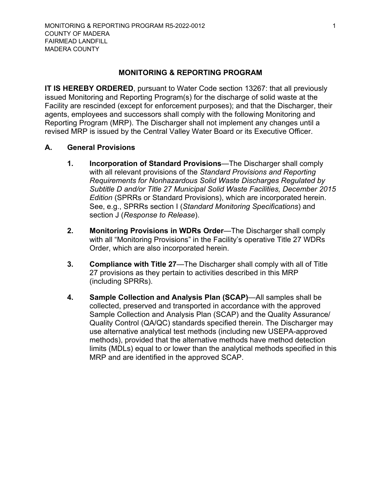#### **MONITORING & REPORTING PROGRAM**

<span id="page-10-0"></span>**IT IS HEREBY ORDERED**, pursuant to Water Code section 13267: that all previously issued Monitoring and Reporting Program(s) for the discharge of solid waste at the Facility are rescinded (except for enforcement purposes); and that the Discharger, their agents, employees and successors shall comply with the following Monitoring and Reporting Program (MRP). The Discharger shall not implement any changes until a revised MRP is issued by the Central Valley Water Board or its Executive Officer.

### **A. General Provisions**

- <span id="page-10-2"></span><span id="page-10-1"></span>**1. Incorporation of Standard Provisions**—The Discharger shall comply with all relevant provisions of the *Standard Provisions and Reporting Requirements for Nonhazardous Solid Waste Discharges Regulated by Subtitle D and/or Title 27 Municipal Solid Waste Facilities, December 2015 Edition* (SPRRs or Standard Provisions), which are incorporated herein. See, e.g., SPRRs section I (*Standard Monitoring Specifications*) and section J (*Response to Release*).
- <span id="page-10-3"></span>**2. Monitoring Provisions in WDRs Order**—The Discharger shall comply with all "Monitoring Provisions" in the Facility's operative Title 27 WDRs Order, which are also incorporated herein.
- <span id="page-10-4"></span>**3. Compliance with Title 27**—The Discharger shall comply with all of Title 27 provisions as they pertain to activities described in this MRP (including SPRRs).
- <span id="page-10-5"></span>**4. Sample Collection and Analysis Plan (SCAP)**—All samples shall be collected, preserved and transported in accordance with the approved Sample Collection and Analysis Plan (SCAP) and the Quality Assurance/ Quality Control (QA/QC) standards specified therein. The Discharger may use alternative analytical test methods (including new USEPA-approved methods), provided that the alternative methods have method detection limits (MDLs) equal to or lower than the analytical methods specified in this MRP and are identified in the approved SCAP.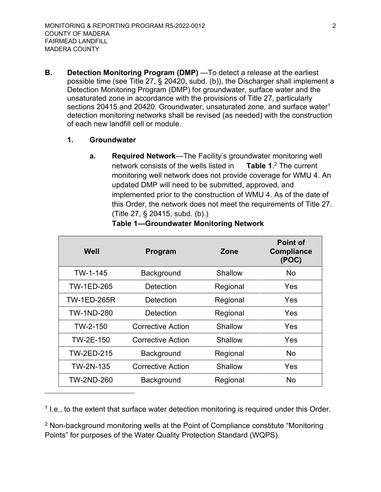- <span id="page-11-1"></span><span id="page-11-0"></span>**B. Detection Monitoring Program (DMP)** —To detect a release at the earliest possible time (see Title 27, § 20420, subd. (b)), the Discharger shall implement a Detection Monitoring Program (DMP) for groundwater, surface water and the unsaturated zone in accordance with the provisions of Title 27, particularly sections 204[1](#page-11-4)5 and 20420. Groundwater, unsaturated zone, and surface water<sup>1</sup> detection monitoring networks shall be revised (as needed) with the construction of each new landfill cell or module.
	- **1. Groundwater**
		- **a. Required Network**—The Facility's groundwater monitoring well network consists of the wells listed in monitoring well network does not provide coverage for WMU 4. An updated DMP will need to be submitted, approved, and implemented prior to the construction of WMU 4. As of the date of this Order, the network does not meet the requirements of Title 27. (Title 27, § 20415, subd. (b).) **Table 1.** $2$  The current

<span id="page-11-6"></span>

| Well               | Program                  | Zone     | <b>Point of</b><br><b>Compliance</b><br>(POC) |
|--------------------|--------------------------|----------|-----------------------------------------------|
| TW-1-145           | Background               | Shallow  | No.                                           |
| <b>TW-1ED-265</b>  | Detection                | Regional | Yes                                           |
| <b>TW-1ED-265R</b> | Detection                | Regional | Yes                                           |
| <b>TW-1ND-280</b>  | Detection                | Regional | Yes                                           |
| TW-2-150           | <b>Corrective Action</b> | Shallow  | Yes                                           |
| TW-2E-150          | <b>Corrective Action</b> | Shallow  | Yes                                           |
| <b>TW-2ED-215</b>  | <b>Background</b>        | Regional | <b>No</b>                                     |
| TW-2N-135          | <b>Corrective Action</b> | Shallow  | Yes                                           |
| <b>TW-2ND-260</b>  | <b>Background</b>        | Regional | No                                            |

<span id="page-11-3"></span><span id="page-11-2"></span>**Table 1—Groundwater Monitoring Network**

<span id="page-11-4"></span><sup>1</sup> I.e., to the extent that surface water detection monitoring is required under this Order.

<span id="page-11-5"></span><sup>2</sup> Non-background monitoring wells at the Point of Compliance constitute "Monitoring" Points" for purposes of the Water Quality Protection Standard (WQPS).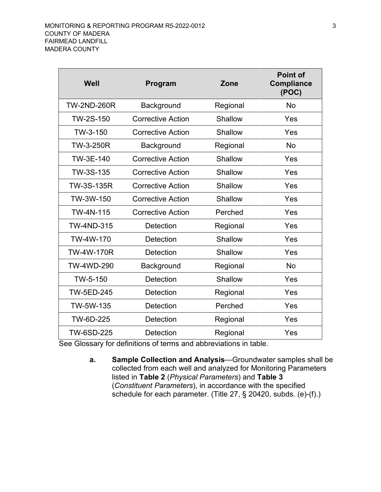| Well               | Program                  | Zone     | <b>Point of</b><br><b>Compliance</b><br>(POC) |
|--------------------|--------------------------|----------|-----------------------------------------------|
| <b>TW-2ND-260R</b> | Background               | Regional | No                                            |
| TW-2S-150          | <b>Corrective Action</b> | Shallow  | Yes                                           |
| TW-3-150           | <b>Corrective Action</b> | Shallow  | Yes                                           |
| <b>TW-3-250R</b>   | Background               | Regional | No                                            |
| TW-3E-140          | <b>Corrective Action</b> | Shallow  | Yes                                           |
| TW-3S-135          | <b>Corrective Action</b> | Shallow  | Yes                                           |
| TW-3S-135R         | <b>Corrective Action</b> | Shallow  | Yes                                           |
| TW-3W-150          | <b>Corrective Action</b> | Shallow  | Yes                                           |
| TW-4N-115          | <b>Corrective Action</b> | Perched  | Yes                                           |
| <b>TW-4ND-315</b>  | Detection                | Regional | Yes                                           |
| TW-4W-170          | <b>Detection</b>         | Shallow  | Yes                                           |
| <b>TW-4W-170R</b>  | <b>Detection</b>         | Shallow  | Yes                                           |
| <b>TW-4WD-290</b>  | Background               | Regional | <b>No</b>                                     |
| TW-5-150           | Detection                | Shallow  | Yes                                           |
| <b>TW-5ED-245</b>  | Detection                | Regional | Yes                                           |
| TW-5W-135          | <b>Detection</b>         | Perched  | Yes                                           |
| TW-6D-225          | <b>Detection</b>         | Regional | Yes                                           |
| TW-6SD-225         | Detection                | Regional | Yes                                           |

<span id="page-12-0"></span>See Glossary for definitions of terms and abbreviations in table.

**a. Sample Collection and Analysis**—Groundwater samples shall be collected from each well and analyzed for Monitoring Parameters listed in **[Table 2](#page-13-1)** (*Physical Parameters*) and **[Table 3](#page-13-2)** (*Constituent Parameters*), in accordance with the specified schedule for each parameter. (Title 27, § 20420, subds. (e)-(f).)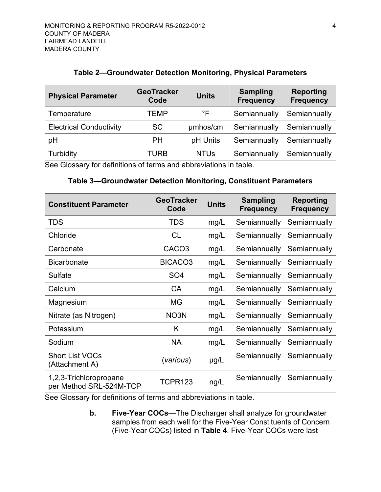#### **Table 2—Groundwater Detection Monitoring, Physical Parameters**

<span id="page-13-1"></span>

| <b>Physical Parameter</b>      | <b>GeoTracker</b><br>Code | <b>Units</b> | <b>Sampling</b><br><b>Frequency</b> | <b>Reporting</b><br><b>Frequency</b> |
|--------------------------------|---------------------------|--------------|-------------------------------------|--------------------------------------|
| Temperature                    | TEMP                      | °F           | Semiannually                        | Semiannually                         |
| <b>Electrical Conductivity</b> | <b>SC</b>                 | umhos/cm     | Semiannually                        | Semiannually                         |
| pH                             | PH                        | pH Units     | Semiannually                        | Semiannually                         |
| Turbidity                      | TURB                      | <b>NTUs</b>  | Semiannually                        | Semiannually                         |

<span id="page-13-2"></span>See Glossary for definitions of terms and abbreviations in table.

### **Table 3—Groundwater Detection Monitoring, Constituent Parameters**

| <b>Constituent Parameter</b>                      | <b>GeoTracker</b><br>Code | <b>Units</b> | <b>Sampling</b><br><b>Frequency</b> | <b>Reporting</b><br><b>Frequency</b> |
|---------------------------------------------------|---------------------------|--------------|-------------------------------------|--------------------------------------|
| <b>TDS</b>                                        | <b>TDS</b>                | mg/L         | Semiannually                        | Semiannually                         |
| Chloride                                          | <b>CL</b>                 | mg/L         | Semiannually                        | Semiannually                         |
| Carbonate                                         | CACO <sub>3</sub>         | mg/L         | Semiannually                        | Semiannually                         |
| <b>Bicarbonate</b>                                | BICACO <sub>3</sub>       | mg/L         | Semiannually                        | Semiannually                         |
| Sulfate                                           | SO <sub>4</sub>           | mg/L         | Semiannually                        | Semiannually                         |
| Calcium                                           | <b>CA</b>                 | mg/L         | Semiannually                        | Semiannually                         |
| Magnesium                                         | ΜG                        | mg/L         | Semiannually                        | Semiannually                         |
| Nitrate (as Nitrogen)                             | NO <sub>3</sub> N         | mg/L         | Semiannually                        | Semiannually                         |
| Potassium                                         | K                         | mg/L         | Semiannually                        | Semiannually                         |
| Sodium                                            | <b>NA</b>                 | mg/L         | Semiannually                        | Semiannually                         |
| <b>Short List VOCs</b><br>(Attachment A)          | (various)                 | $\mu$ g/L    | Semiannually                        | Semiannually                         |
| 1,2,3-Trichloropropane<br>per Method SRL-524M-TCP | TCPR123                   | ng/L         | Semiannually                        | Semiannually                         |

See Glossary for definitions of terms and abbreviations in table.

<span id="page-13-0"></span>**b. Five-Year COCs**—The Discharger shall analyze for groundwater samples from each well for the Five-Year Constituents of Concern (Five-Year COCs) listed in **[Table 4](#page-14-1)**. Five-Year COCs were last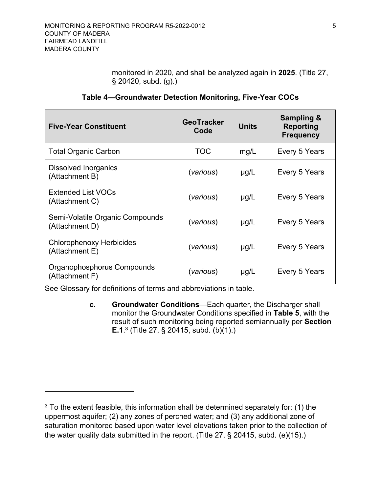monitored in 2020, and shall be analyzed again in **2025**. (Title 27, § 20420, subd. (g).)

<span id="page-14-1"></span>

| <b>Five-Year Constituent</b>                      | <b>GeoTracker</b><br>Code | <b>Units</b> | <b>Sampling &amp;</b><br>Reporting<br><b>Frequency</b> |
|---------------------------------------------------|---------------------------|--------------|--------------------------------------------------------|
| <b>Total Organic Carbon</b>                       | TOC                       | mg/L         | Every 5 Years                                          |
| <b>Dissolved Inorganics</b><br>(Attachment B)     | (various)                 | $\mu$ g/L    | Every 5 Years                                          |
| <b>Extended List VOCs</b><br>(Attachment C)       | (various)                 | $\mu$ g/L    | Every 5 Years                                          |
| Semi-Volatile Organic Compounds<br>(Attachment D) | (various)                 | $\mu$ g/L    | Every 5 Years                                          |
| <b>Chlorophenoxy Herbicides</b><br>(Attachment E) | (various)                 | $\mu$ g/L    | Every 5 Years                                          |
| Organophosphorus Compounds<br>(Attachment F)      | (various)                 | $\mu$ g/L    | Every 5 Years                                          |

### **Table 4—Groundwater Detection Monitoring, Five-Year COCs**

See Glossary for definitions of terms and abbreviations in table.

<span id="page-14-0"></span>**c. Groundwater Conditions**—Each quarter, the Discharger shall monitor the Groundwater Conditions specified in **[Table 5](#page-15-2)**, with the result of such monitoring being reported semiannually per **Section [E.](#page-26-3)1**. [3](#page-14-2) (Title 27, § 20415, subd. (b)(1).)

<span id="page-14-2"></span> $3$  To the extent feasible, this information shall be determined separately for: (1) the uppermost aquifer; (2) any zones of perched water; and (3) any additional zone of saturation monitored based upon water level elevations taken prior to the collection of the water quality data submitted in the report. (Title 27, § 20415, subd. (e)(15).)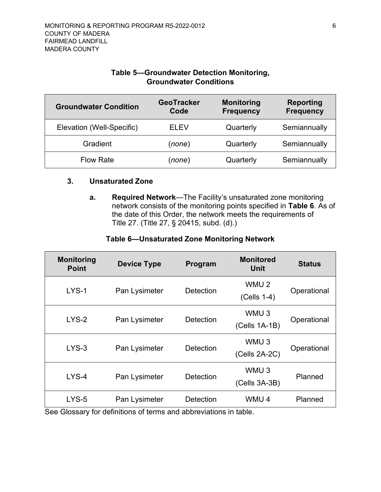### **Table 5—Groundwater Detection Monitoring, Groundwater Conditions**

<span id="page-15-2"></span>

| <b>Groundwater Condition</b> | <b>GeoTracker</b><br>Code | <b>Monitoring</b><br><b>Frequency</b> | <b>Reporting</b><br><b>Frequency</b> |
|------------------------------|---------------------------|---------------------------------------|--------------------------------------|
| Elevation (Well-Specific)    | FI FV                     | Quarterly                             | Semiannually                         |
| Gradient                     | (none)                    | Quarterly                             | Semiannually                         |
| <b>Flow Rate</b>             | (none)                    | Quarterly                             | Semiannually                         |

#### <span id="page-15-1"></span><span id="page-15-0"></span>**3. Unsaturated Zone**

**a. Required Network**—The Facility's unsaturated zone monitoring network consists of the monitoring points specified in **[Table 6](#page-15-3)**. As of the date of this Order, the network meets the requirements of Title 27. (Title 27, § 20415, subd. (d).)

#### **Table 6—Unsaturated Zone Monitoring Network**

<span id="page-15-3"></span>

| <b>Monitoring</b><br><b>Point</b> | <b>Device Type</b>                                                                | Program          | <b>Monitored</b><br><b>Unit</b>   | <b>Status</b> |
|-----------------------------------|-----------------------------------------------------------------------------------|------------------|-----------------------------------|---------------|
| $LYS-1$                           | Pan Lysimeter                                                                     | <b>Detection</b> | WMU <sub>2</sub><br>(Cells 1-4)   | Operational   |
| $LYS-2$                           | Pan Lysimeter                                                                     | Detection        | WMU <sub>3</sub><br>(Cells 1A-1B) | Operational   |
| $LYS-3$                           | Pan Lysimeter                                                                     | <b>Detection</b> | WMU <sub>3</sub><br>(Cells 2A-2C) | Operational   |
| $LYS-4$                           | Pan Lysimeter                                                                     | <b>Detection</b> | WMU <sub>3</sub><br>(Cells 3A-3B) | Planned       |
| $LYS-5$                           | Pan Lysimeter<br>See Closson, for definitions of terms and abbreviations in table | Detection        | WMU <sub>4</sub>                  | Planned       |

See Glossary for definitions of terms and abbreviations in table.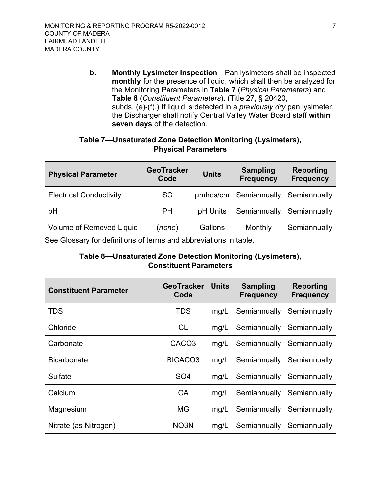<span id="page-16-0"></span>**b. Monthly Lysimeter Inspection**—Pan lysimeters shall be inspected **monthly** for the presence of liquid, which shall then be analyzed for the Monitoring Parameters in **[Table 7](#page-16-1)** (*Physical Parameters*) and **[Table 8](#page-16-2)** (*Constituent Parameters*). (Title 27, § 20420, subds. (e)-(f).) If liquid is detected in a *previously dry* pan lysimeter, the Discharger shall notify Central Valley Water Board staff **within seven days** of the detection.

### **Table 7—Unsaturated Zone Detection Monitoring (Lysimeters), Physical Parameters**

<span id="page-16-1"></span>

| <b>Physical Parameter</b>       | <b>GeoTracker</b><br>Code | <b>Units</b> | <b>Sampling</b><br><b>Frequency</b> | <b>Reporting</b><br><b>Frequency</b> |
|---------------------------------|---------------------------|--------------|-------------------------------------|--------------------------------------|
| <b>Electrical Conductivity</b>  | <b>SC</b>                 |              | umhos/cm Semiannually               | Semiannually                         |
| pH                              | <b>PH</b>                 | pH Units     | Semiannually                        | Semiannually                         |
| <b>Volume of Removed Liquid</b> | (none)                    | Gallons      | Monthly                             | Semiannually                         |

<span id="page-16-2"></span>See Glossary for definitions of terms and abbreviations in table.

### **Table 8—Unsaturated Zone Detection Monitoring (Lysimeters), Constituent Parameters**

| <b>Constituent Parameter</b> | <b>GeoTracker</b><br>Code | <b>Units</b> | <b>Sampling</b><br><b>Frequency</b> | <b>Reporting</b><br><b>Frequency</b> |
|------------------------------|---------------------------|--------------|-------------------------------------|--------------------------------------|
| <b>TDS</b>                   | <b>TDS</b>                | mq/L         | Semiannually                        | Semiannually                         |
| Chloride                     | <b>CL</b>                 | mg/L         | Semiannually                        | Semiannually                         |
| Carbonate                    | CACO <sub>3</sub>         | mg/L         | Semiannually Semiannually           |                                      |
| <b>Bicarbonate</b>           | BICACO <sub>3</sub>       | mg/L         | Semiannually Semiannually           |                                      |
| Sulfate                      | SO <sub>4</sub>           | mq/L         | Semiannually Semiannually           |                                      |
| Calcium                      | CA                        | mq/L         | Semiannually Semiannually           |                                      |
| Magnesium                    | MG                        | mg/L         | Semiannually                        | Semiannually                         |
| Nitrate (as Nitrogen)        | NO <sub>3</sub> N         | mg/L         | Semiannually                        | Semiannually                         |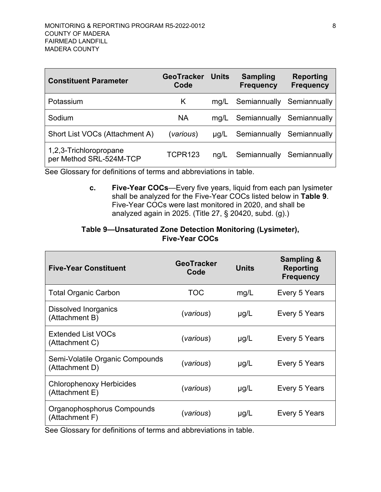| <b>Constituent Parameter</b>                      | <b>GeoTracker</b><br>Code | Units | <b>Sampling</b><br><b>Frequency</b> | <b>Reporting</b><br><b>Frequency</b> |
|---------------------------------------------------|---------------------------|-------|-------------------------------------|--------------------------------------|
| Potassium                                         | K.                        | mq/L  | Semiannually                        | Semiannually                         |
| Sodium                                            | <b>NA</b>                 | mq/L  | Semiannually Semiannually           |                                      |
| Short List VOCs (Attachment A)                    | (various)                 | µg/L  |                                     | Semiannually Semiannually            |
| 1,2,3-Trichloropropane<br>per Method SRL-524M-TCP | TCPR123                   | nq/L  | Semiannually Semiannually           |                                      |

See Glossary for definitions of terms and abbreviations in table.

<span id="page-17-0"></span>**c. Five-Year COCs**—Every five years, liquid from each pan lysimeter shall be analyzed for the Five-Year COCs listed below in **[Table 9](#page-17-1)**. Five-Year COCs were last monitored in 2020, and shall be analyzed again in 2025. (Title 27, § 20420, subd. (g).)

### **Table 9—Unsaturated Zone Detection Monitoring (Lysimeter), Five-Year COCs**

<span id="page-17-1"></span>

| <b>Five-Year Constituent</b>                      | <b>GeoTracker</b><br>Code | <b>Units</b> | <b>Sampling &amp;</b><br>Reporting<br><b>Frequency</b> |
|---------------------------------------------------|---------------------------|--------------|--------------------------------------------------------|
| <b>Total Organic Carbon</b>                       | <b>TOC</b>                | mg/L         | Every 5 Years                                          |
| Dissolved Inorganics<br>(Attachment B)            | (various)                 | $\mu$ g/L    | Every 5 Years                                          |
| <b>Extended List VOCs</b><br>(Attachment C)       | (various)                 | $\mu$ g/L    | Every 5 Years                                          |
| Semi-Volatile Organic Compounds<br>(Attachment D) | (various)                 | $\mu$ g/L    | Every 5 Years                                          |
| <b>Chlorophenoxy Herbicides</b><br>(Attachment E) | (various)                 | $\mu$ g/L    | Every 5 Years                                          |
| Organophosphorus Compounds<br>(Attachment F)      | (various)                 | $\mu$ g/L    | Every 5 Years                                          |

See Glossary for definitions of terms and abbreviations in table.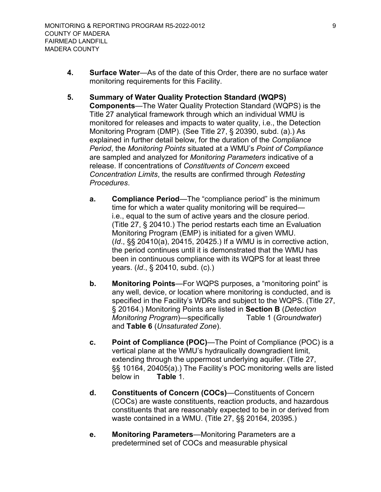- <span id="page-18-0"></span>**4. Surface Water**—As of the date of this Order, there are no surface water monitoring requirements for this Facility.
- <span id="page-18-6"></span><span id="page-18-5"></span><span id="page-18-4"></span><span id="page-18-3"></span><span id="page-18-2"></span><span id="page-18-1"></span>**5. Summary of Water Quality Protection Standard (WQPS) Components**—The Water Quality Protection Standard (WQPS) is the Title 27 analytical framework through which an individual WMU is monitored for releases and impacts to water quality, i.e., the Detection Monitoring Program (DMP). (See Title 27, § 20390, subd. (a).) As explained in further detail below, for the duration of the *Compliance Period*, the *Monitoring Points* situated at a WMU's *Point of Compliance* are sampled and analyzed for *Monitoring Parameters* indicative of a release. If concentrations of *Constituents of Concern* exceed *Concentration Limits*, the results are confirmed through *Retesting Procedures*.
	- **a. Compliance Period**—The "compliance period" is the minimum time for which a water quality monitoring will be required i.e., equal to the sum of active years and the closure period. (Title 27, § 20410.) The period restarts each time an Evaluation Monitoring Program (EMP) is initiated for a given WMU. (*Id*., §§ 20410(a), 20415, 20425.) If a WMU is in corrective action, the period continues until it is demonstrated that the WMU has been in continuous compliance with its WQPS for at least three years. (*Id*., § 20410, subd. (c).)
	- **b. Monitoring Points**—For WQPS purposes, a "monitoring point" is any well, device, or location where monitoring is conducted, and is specified in the Facility's WDRs and subject to the WQPS. (Title 27, § 20164.) Monitoring Points are listed in **Section [B](#page-11-0)** (*Detection Monitoring Program*)—specifically Table 1 (*Groundwater*) and **Table 6** (*Unsaturated Zone*).
	- **c. Point of Compliance (POC)**—The Point of Compliance (POC) is a vertical plane at the WMU's hydraulically downgradient limit, extending through the uppermost underlying aquifer. (Title 27, §§ 10164, 20405(a).) The Facility's POC monitoring wells are listed below in **Table** 1.
	- **d. Constituents of Concern (COCs)**—Constituents of Concern (COCs) are waste constituents, reaction products, and hazardous constituents that are reasonably expected to be in or derived from waste contained in a WMU. (Title 27, §§ 20164, 20395.)
	- **e. Monitoring Parameters**—Monitoring Parameters are a predetermined set of COCs and measurable physical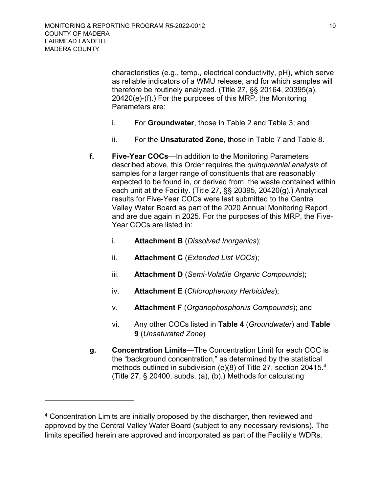characteristics (e.g., temp., electrical conductivity, pH), which serve as reliable indicators of a WMU release, and for which samples will therefore be routinely analyzed. (Title 27, §§ 20164, 20395(a), 20420(e)-(f).) For the purposes of this MRP, the Monitoring Parameters are:

- i. For **Groundwater**, those in Table 2 and Table 3; and
- ii. For the **Unsaturated Zone**, those in Table 7 and Table 8.
- <span id="page-19-4"></span><span id="page-19-0"></span>**f. Five-Year COCs**—In addition to the Monitoring Parameters described above, this Order requires the *quinquennial analysis* of samples for a larger range of constituents that are reasonably expected to be found in, or derived from, the waste contained within each unit at the Facility. (Title 27, §§ 20395, 20420(g).) Analytical results for Five-Year COCs were last submitted to the Central Valley Water Board as part of the 2020 Annual Monitoring Report and are due again in 2025. For the purposes of this MRP, the Five-Year COCs are listed in:
	- i. **Attachment B** (*Dissolved Inorganics*);
	- ii. **Attachment C** (*Extended List VOCs*);
	- iii. **Attachment D** (*Semi-Volatile Organic Compounds*);
	- iv. **Attachment E** (*Chlorophenoxy Herbicides*);
	- v. **Attachment F** (*Organophosphorus Compounds*); and
	- vi. Any other COCs listed in **Table 4** (*Groundwater*) and **Table 9** (*Unsaturated Zone*)
- <span id="page-19-3"></span><span id="page-19-1"></span>**g. Concentration Limits**—The Concentration Limit for each COC is the "background concentration," as determined by the statistical methods outlined in subdivision (e)(8) of Title 27, section 20415.[4](#page-19-2) (Title 27, § 20400, subds. (a), (b).) Methods for calculating

<span id="page-19-2"></span><sup>&</sup>lt;sup>4</sup> Concentration Limits are initially proposed by the discharger, then reviewed and approved by the Central Valley Water Board (subject to any necessary revisions). The limits specified herein are approved and incorporated as part of the Facility's WDRs.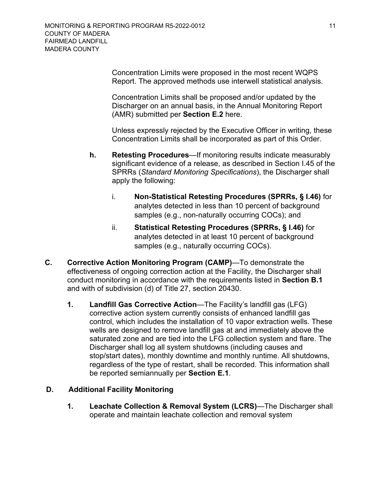Concentration Limits were proposed in the most recent WQPS Report. The approved methods use interwell statistical analysis.

Concentration Limits shall be proposed and/or updated by the Discharger on an annual basis, in the Annual Monitoring Report (AMR) submitted per **Section [E.2](#page-28-0)** here.

Unless expressly rejected by the Executive Officer in writing, these Concentration Limits shall be incorporated as part of this Order.

- <span id="page-20-0"></span>**h. Retesting Procedures**—If monitoring results indicate measurably significant evidence of a release, as described in Section I.45 of the SPRRs (*Standard Monitoring Specifications*), the Discharger shall apply the following:
	- i. **Non-Statistical Retesting Procedures (SPRRs, § I.46)** for analytes detected in less than 10 percent of background samples (e.g., non-naturally occurring COCs); and
	- ii. **Statistical Retesting Procedures (SPRRs, § I.46)** for analytes detected in at least 10 percent of background samples (e.g., naturally occurring COCs).
- <span id="page-20-2"></span><span id="page-20-1"></span>**C. Corrective Action Monitoring Program (CAMP)**—To demonstrate the effectiveness of ongoing correction action at the Facility, the Discharger shall conduct monitoring in accordance with the requirements listed in **Section B.1** and with of subdivision (d) of Title 27, section 20430.
	- **1. Landfill Gas Corrective Action**—The Facility's landfill gas (LFG) corrective action system currently consists of enhanced landfill gas control, which includes the installation of 10 vapor extraction wells. These wells are designed to remove landfill gas at and immediately above the saturated zone and are tied into the LFG collection system and flare. The Discharger shall log all system shutdowns (including causes and stop/start dates), monthly downtime and monthly runtime. All shutdowns, regardless of the type of restart, shall be recorded. This information shall be reported semiannually per **Section E.1**.

### **D. Additional Facility Monitoring**

<span id="page-20-4"></span><span id="page-20-3"></span>**1. Leachate Collection & Removal System (LCRS)**—The Discharger shall operate and maintain leachate collection and removal system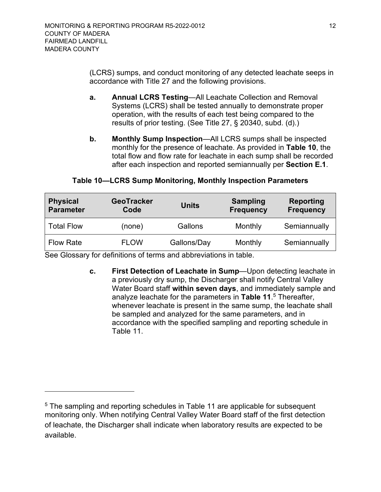(LCRS) sumps, and conduct monitoring of any detected leachate seeps in accordance with Title 27 and the following provisions.

- <span id="page-21-0"></span>**a. Annual LCRS Testing**—All Leachate Collection and Removal Systems (LCRS) shall be tested annually to demonstrate proper operation, with the results of each test being compared to the results of prior testing. (See Title 27, § 20340, subd. (d).)
- <span id="page-21-1"></span>**b. Monthly Sump Inspection**—All LCRS sumps shall be inspected monthly for the presence of leachate. As provided in **[Table 10](#page-21-3)**, the total flow and flow rate for leachate in each sump shall be recorded after each inspection and reported semiannually per **Section E.1**.

#### <span id="page-21-3"></span>**Physical Parameter GeoTracker Code Units Sampling Frequency Reporting Frequency** Total Flow (none) Gallons Monthly Semiannually Flow Rate **FLOW** Gallons/Day Monthly Semiannually

### **Table 10—LCRS Sump Monitoring, Monthly Inspection Parameters**

See Glossary for definitions of terms and abbreviations in table.

<span id="page-21-2"></span>**c. First Detection of Leachate in Sump**—Upon detecting leachate in a previously dry sump, the Discharger shall notify Central Valley Water Board staff **within seven days**, and immediately sample and analyze leachate for the parameters in **[Table 11](#page-22-1)**. [5](#page-21-4) Thereafter, whenever leachate is present in the same sump, the leachate shall be sampled and analyzed for the same parameters, and in accordance with the specified sampling and reporting schedule in Table 11.

<span id="page-21-4"></span><sup>&</sup>lt;sup>5</sup> The sampling and reporting schedules in Table 11 are applicable for subsequent monitoring only. When notifying Central Valley Water Board staff of the first detection of leachate, the Discharger shall indicate when laboratory results are expected to be available.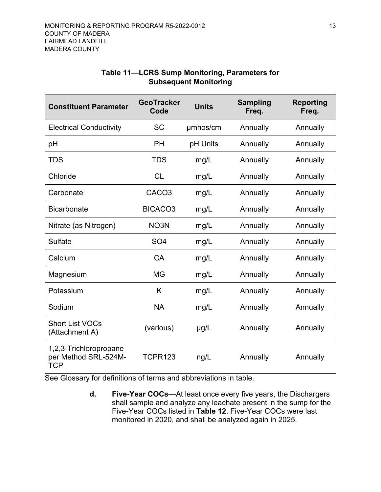<span id="page-22-1"></span>

| <b>Constituent Parameter</b>                                 | <b>GeoTracker</b><br>Code | <b>Units</b> | <b>Sampling</b><br>Freq. | <b>Reporting</b><br>Freq. |
|--------------------------------------------------------------|---------------------------|--------------|--------------------------|---------------------------|
| <b>Electrical Conductivity</b>                               | <b>SC</b>                 | umhos/cm     | Annually                 | Annually                  |
| pH                                                           | <b>PH</b>                 | pH Units     | Annually                 | Annually                  |
| <b>TDS</b>                                                   | <b>TDS</b>                | mg/L         | Annually                 | Annually                  |
| Chloride                                                     | <b>CL</b>                 | mg/L         | Annually                 | Annually                  |
| Carbonate                                                    | CACO <sub>3</sub>         | mg/L         | Annually                 | Annually                  |
| <b>Bicarbonate</b>                                           | BICACO <sub>3</sub>       | mg/L         | Annually                 | Annually                  |
| Nitrate (as Nitrogen)                                        | NO3N                      | mg/L         | Annually                 | Annually                  |
| Sulfate                                                      | SO <sub>4</sub>           | mg/L         | Annually                 | Annually                  |
| Calcium                                                      | <b>CA</b>                 | mg/L         | Annually                 | Annually                  |
| Magnesium                                                    | <b>MG</b>                 | mg/L         | Annually                 | Annually                  |
| Potassium                                                    | K                         | mg/L         | Annually                 | Annually                  |
| Sodium                                                       | <b>NA</b>                 | mg/L         | Annually                 | Annually                  |
| <b>Short List VOCs</b><br>(Attachment A)                     | (various)                 | $\mu$ g/L    | Annually                 | Annually                  |
| 1,2,3-Trichloropropane<br>per Method SRL-524M-<br><b>TCP</b> | <b>TCPR123</b>            | ng/L         | Annually                 | Annually                  |

### **Table 11—LCRS Sump Monitoring, Parameters for Subsequent Monitoring**

See Glossary for definitions of terms and abbreviations in table.

<span id="page-22-0"></span>**d. Five-Year COCs**—At least once every five years, the Dischargers shall sample and analyze any leachate present in the sump for the Five-Year COCs listed in **[Table 12](#page-23-1)**. Five-Year COCs were last monitored in 2020, and shall be analyzed again in 2025.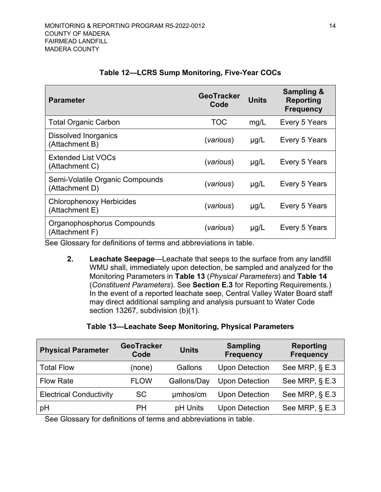<span id="page-23-1"></span>

| <b>Parameter</b>                                  | <b>GeoTracker</b><br>Code | <b>Units</b> | <b>Sampling &amp;</b><br><b>Reporting</b><br><b>Frequency</b> |
|---------------------------------------------------|---------------------------|--------------|---------------------------------------------------------------|
| <b>Total Organic Carbon</b>                       | <b>TOC</b>                | mg/L         | Every 5 Years                                                 |
| <b>Dissolved Inorganics</b><br>(Attachment B)     | (various)                 | $\mu$ g/L    | Every 5 Years                                                 |
| <b>Extended List VOCs</b><br>(Attachment C)       | (various)                 | $\mu$ g/L    | Every 5 Years                                                 |
| Semi-Volatile Organic Compounds<br>(Attachment D) | (various)                 | $\mu$ g/L    | Every 5 Years                                                 |
| <b>Chlorophenoxy Herbicides</b><br>(Attachment E) | (various)                 | $\mu$ g/L    | Every 5 Years                                                 |
| Organophosphorus Compounds<br>(Attachment F)      | (various)                 | $\mu$ g/L    | Every 5 Years                                                 |

### **Table 12—LCRS Sump Monitoring, Five-Year COCs**

See Glossary for definitions of terms and abbreviations in table.

<span id="page-23-0"></span>**2. Leachate Seepage**—Leachate that seeps to the surface from any landfill WMU shall, immediately upon detection, be sampled and analyzed for the Monitoring Parameters in **[Table 13](#page-23-2)** (*Physical Parameters*) and **[Table 14](#page-24-1)** (*Constituent Parameters*). See **Section [E.3](#page-29-0)** for Reporting Requirements.) In the event of a reported leachate seep, Central Valley Water Board staff may direct additional sampling and analysis pursuant to Water Code section 13267, subdivision (b)(1).

### **Table 13—Leachate Seep Monitoring, Physical Parameters**

<span id="page-23-2"></span>

| <b>Physical Parameter</b>      | <b>GeoTracker</b><br>Code | <b>Units</b> | <b>Sampling</b><br><b>Frequency</b> | <b>Reporting</b><br><b>Frequency</b> |
|--------------------------------|---------------------------|--------------|-------------------------------------|--------------------------------------|
| <b>Total Flow</b>              | (none)                    | Gallons      | <b>Upon Detection</b>               | See MRP, § E.3                       |
| <b>Flow Rate</b>               | <b>FLOW</b>               | Gallons/Day  | <b>Upon Detection</b>               | See MRP, $\S$ E.3                    |
| <b>Electrical Conductivity</b> | <b>SC</b>                 | umhos/cm     | <b>Upon Detection</b>               | See MRP, $\S$ E.3                    |
| pH                             | <b>PH</b>                 | pH Units     | <b>Upon Detection</b>               | See MRP, $\S$ E.3                    |

See Glossary for definitions of terms and abbreviations in table.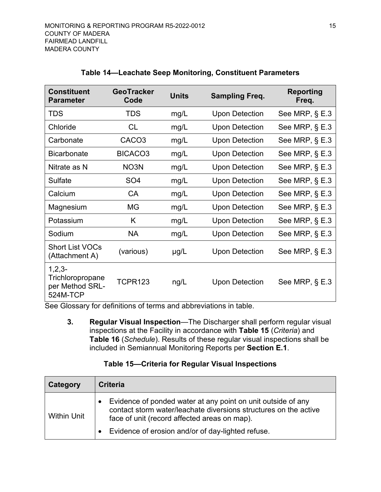<span id="page-24-1"></span>

| <b>Constituent</b><br><b>Parameter</b>                      | GeoTracker<br>Code  | <b>Units</b> | <b>Sampling Freq.</b> | <b>Reporting</b><br>Freq. |
|-------------------------------------------------------------|---------------------|--------------|-----------------------|---------------------------|
| <b>TDS</b>                                                  | <b>TDS</b>          | mg/L         | <b>Upon Detection</b> | See MRP, § E.3            |
| Chloride                                                    | CL                  | mg/L         | <b>Upon Detection</b> | See MRP, § E.3            |
| Carbonate                                                   | CACO <sub>3</sub>   | mg/L         | <b>Upon Detection</b> | See MRP, $\S$ E.3         |
| <b>Bicarbonate</b>                                          | BICACO <sub>3</sub> | mg/L         | <b>Upon Detection</b> | See MRP, $\S$ E.3         |
| Nitrate as N                                                | NO3N                | mg/L         | <b>Upon Detection</b> | See MRP, $\S$ E.3         |
| Sulfate                                                     | SO <sub>4</sub>     | mg/L         | <b>Upon Detection</b> | See MRP, $\S$ E.3         |
| Calcium                                                     | <b>CA</b>           | mg/L         | <b>Upon Detection</b> | See MRP, $\S$ E.3         |
| Magnesium                                                   | MG                  | mg/L         | <b>Upon Detection</b> | See MRP, $\S$ E.3         |
| Potassium                                                   | K                   | mg/L         | <b>Upon Detection</b> | See MRP, $\S$ E.3         |
| Sodium                                                      | <b>NA</b>           | mg/L         | <b>Upon Detection</b> | See MRP, $\S$ E.3         |
| <b>Short List VOCs</b><br>(Attachment A)                    | (various)           | $\mu$ g/L    | <b>Upon Detection</b> | See MRP, $\S$ E.3         |
| $1,2,3-$<br>Trichloropropane<br>per Method SRL-<br>524M-TCP | <b>TCPR123</b>      | ng/L         | <b>Upon Detection</b> | See MRP, $\S$ E.3         |

### **Table 14—Leachate Seep Monitoring, Constituent Parameters**

See Glossary for definitions of terms and abbreviations in table.

<span id="page-24-0"></span>**3. Regular Visual Inspection**—The Discharger shall perform regular visual inspections at the Facility in accordance with **[Table 15](#page-24-2)** (*Criteria*) and **[Table 16](#page-25-2)** (*Schedule*). Results of these regular visual inspections shall be included in Semiannual Monitoring Reports per **Section E.1**.

# **Table 15—Criteria for Regular Visual Inspections**

<span id="page-24-2"></span>

| Category           | <b>Criteria</b>                                                                                                                                                                  |
|--------------------|----------------------------------------------------------------------------------------------------------------------------------------------------------------------------------|
| <b>Within Unit</b> | Evidence of ponded water at any point on unit outside of any<br>contact storm water/leachate diversions structures on the active<br>face of unit (record affected areas on map). |
|                    | Evidence of erosion and/or of day-lighted refuse.                                                                                                                                |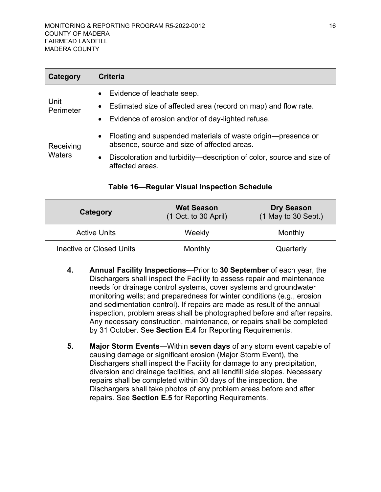| Category            | <b>Criteria</b>                                                                                                                                                                                                     |
|---------------------|---------------------------------------------------------------------------------------------------------------------------------------------------------------------------------------------------------------------|
| Unit<br>Perimeter   | Evidence of leachate seep.<br>Estimated size of affected area (record on map) and flow rate.<br>Evidence of erosion and/or of day-lighted refuse.                                                                   |
| Receiving<br>Waters | Floating and suspended materials of waste origin-presence or<br>$\bullet$<br>absence, source and size of affected areas.<br>Discoloration and turbidity—description of color, source and size of<br>affected areas. |

### **Table 16—Regular Visual Inspection Schedule**

<span id="page-25-2"></span>

| Category                 | <b>Wet Season</b><br>$(1$ Oct. to 30 April) | <b>Dry Season</b><br>(1 May to 30 Sept.) |
|--------------------------|---------------------------------------------|------------------------------------------|
| <b>Active Units</b>      | Weekly                                      | Monthly                                  |
| Inactive or Closed Units | Monthly                                     | Quarterly                                |

- <span id="page-25-0"></span>**4. Annual Facility Inspections**—Prior to **30 September** of each year, the Dischargers shall inspect the Facility to assess repair and maintenance needs for drainage control systems, cover systems and groundwater monitoring wells; and preparedness for winter conditions (e.g., erosion and sedimentation control). If repairs are made as result of the annual inspection, problem areas shall be photographed before and after repairs. Any necessary construction, maintenance, or repairs shall be completed by 31 October. See **Section [E.4](#page-30-0)** for Reporting Requirements.
- <span id="page-25-3"></span><span id="page-25-1"></span>**5. Major Storm Events**—Within **seven days** of any storm event capable of causing damage or significant erosion (Major Storm Event), the Dischargers shall inspect the Facility for damage to any precipitation, diversion and drainage facilities, and all landfill side slopes. Necessary repairs shall be completed within 30 days of the inspection. the Dischargers shall take photos of any problem areas before and after repairs. See **Section [E.5](#page-30-1)** for Reporting Requirements.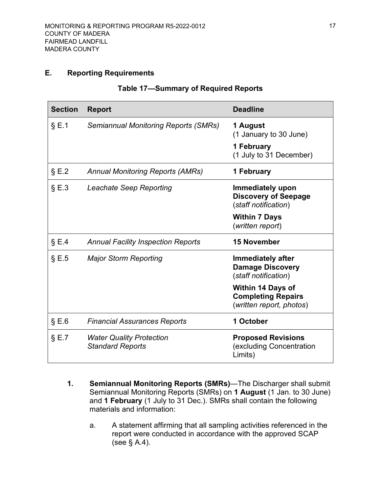### <span id="page-26-2"></span><span id="page-26-0"></span>**E. Reporting Requirements**

| Table 17—Summary of Required Reports |  |  |  |
|--------------------------------------|--|--|--|
|--------------------------------------|--|--|--|

| <b>Section</b> | <b>Report</b>                                              | <b>Deadline</b>                                                                   |
|----------------|------------------------------------------------------------|-----------------------------------------------------------------------------------|
| $\S E.1$       | <b>Semiannual Monitoring Reports (SMRs)</b>                | 1 August<br>(1 January to 30 June)                                                |
|                |                                                            | 1 February<br>(1 July to 31 December)                                             |
| $\S E.2$       | <b>Annual Monitoring Reports (AMRs)</b>                    | 1 February                                                                        |
| $\S E.3$       | <b>Leachate Seep Reporting</b>                             | Immediately upon<br><b>Discovery of Seepage</b><br>(staff notification)           |
|                |                                                            | <b>Within 7 Days</b><br>(written report)                                          |
| $\S E.4$       | <b>Annual Facility Inspection Reports</b>                  | <b>15 November</b>                                                                |
| $\S E.5$       | <b>Major Storm Reporting</b>                               | <b>Immediately after</b><br><b>Damage Discovery</b><br>(staff notification)       |
|                |                                                            | <b>Within 14 Days of</b><br><b>Completing Repairs</b><br>(written report, photos) |
| $\S E.6$       | <b>Financial Assurances Reports</b>                        | 1 October                                                                         |
| $\S E.7$       | <b>Water Quality Protection</b><br><b>Standard Reports</b> | <b>Proposed Revisions</b><br>(excluding Concentration<br>Limits)                  |

- <span id="page-26-3"></span><span id="page-26-1"></span>**1. Semiannual Monitoring Reports (SMRs)**—The Discharger shall submit Semiannual Monitoring Reports (SMRs) on **1 August** (1 Jan. to 30 June) and **1 February** (1 July to 31 Dec.). SMRs shall contain the following materials and information:
	- a. A statement affirming that all sampling activities referenced in the report were conducted in accordance with the approved SCAP (see  $\S$  [A.4\)](#page-10-5).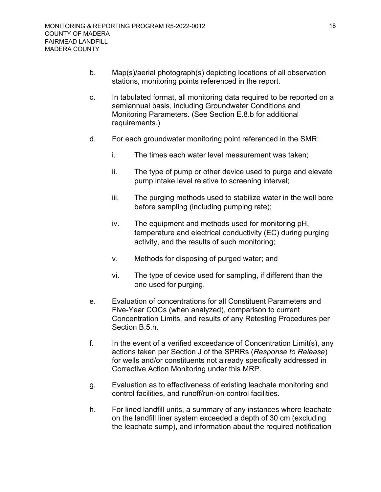- b. Map(s)/aerial photograph(s) depicting locations of all observation stations, monitoring points referenced in the report.
- c. In tabulated format, all monitoring data required to be reported on a semiannual basis, including Groundwater Conditions and Monitoring Parameters. (See Section [E.8.b](#page-31-2) for additional requirements.)
- d. For each groundwater monitoring point referenced in the SMR:
	- i. The times each water level measurement was taken;
	- ii. The type of pump or other device used to purge and elevate pump intake level relative to screening interval;
	- iii. The purging methods used to stabilize water in the well bore before sampling (including pumping rate);
	- iv. The equipment and methods used for monitoring pH, temperature and electrical conductivity (EC) during purging activity, and the results of such monitoring;
	- v. Methods for disposing of purged water; and
	- vi. The type of device used for sampling, if different than the one used for purging.
- e. Evaluation of concentrations for all Constituent Parameters and Five-Year COCs (when analyzed), comparison to current Concentration Limits, and results of any Retesting Procedures per Section [B.5.h](#page-20-0).
- f. In the event of a verified exceedance of Concentration Limit(s), any actions taken per Section J of the SPRRs (*Response to Release*) for wells and/or constituents not already specifically addressed in Corrective Action Monitoring under this MRP.
- g. Evaluation as to effectiveness of existing leachate monitoring and control facilities, and runoff/run-on control facilities.
- h. For lined landfill units, a summary of any instances where leachate on the landfill liner system exceeded a depth of 30 cm (excluding the leachate sump), and information about the required notification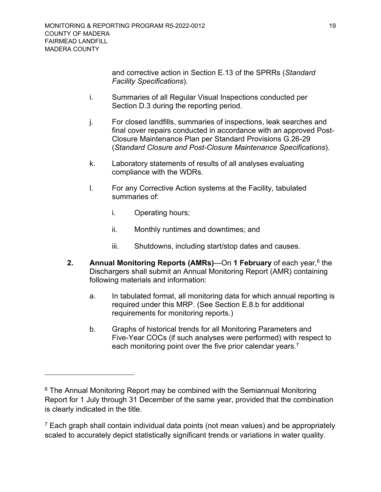and corrective action in Section E.13 of the SPRRs (*Standard Facility Specifications*).

- i. Summaries of all Regular Visual Inspections conducted per Section [D.3](#page-24-0) during the reporting period.
- j. For closed landfills, summaries of inspections, leak searches and final cover repairs conducted in accordance with an approved Post-Closure Maintenance Plan per Standard Provisions G.26-29 (*Standard Closure and Post-Closure Maintenance Specifications*).
- k. Laboratory statements of results of all analyses evaluating compliance with the WDRs.
- l. For any Corrective Action systems at the Facility, tabulated summaries of:
	- i. Operating hours;
	- ii. Monthly runtimes and downtimes; and
	- iii. Shutdowns, including start/stop dates and causes.
- <span id="page-28-0"></span>**2. Annual Monitoring Reports (AMRs)—On 1 February** of each year,<sup>[6](#page-28-1)</sup> the Dischargers shall submit an Annual Monitoring Report (AMR) containing following materials and information:
	- a. In tabulated format, all monitoring data for which annual reporting is required under this MRP. (See Section E.8.b for additional requirements for monitoring reports.)
	- b. Graphs of historical trends for all Monitoring Parameters and Five-Year COCs (if such analyses were performed) with respect to each monitoring point over the five prior calendar vears.<sup>[7](#page-28-2)</sup>

<span id="page-28-1"></span> $6$  The Annual Monitoring Report may be combined with the Semiannual Monitoring Report for 1 July through 31 December of the same year, provided that the combination is clearly indicated in the title.

<span id="page-28-2"></span> $7$  Each graph shall contain individual data points (not mean values) and be appropriately scaled to accurately depict statistically significant trends or variations in water quality.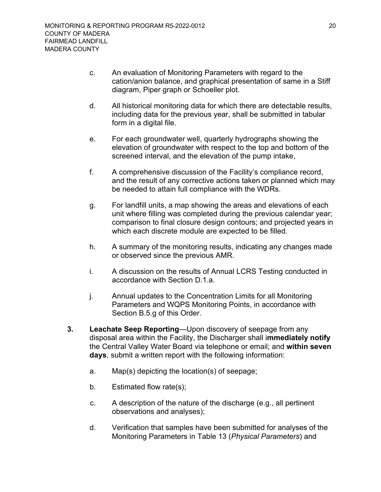- c. An evaluation of Monitoring Parameters with regard to the cation/anion balance, and graphical presentation of same in a Stiff diagram, Piper graph or Schoeller plot.
- d. All historical monitoring data for which there are detectable results, including data for the previous year, shall be submitted in tabular form in a digital file.
- e. For each groundwater well, quarterly hydrographs showing the elevation of groundwater with respect to the top and bottom of the screened interval, and the elevation of the pump intake,
- f. A comprehensive discussion of the Facility's compliance record, and the result of any corrective actions taken or planned which may be needed to attain full compliance with the WDRs.
- g. For landfill units, a map showing the areas and elevations of each unit where filling was completed during the previous calendar year; comparison to final closure design contours; and projected years in which each discrete module are expected to be filled.
- h. A summary of the monitoring results, indicating any changes made or observed since the previous AMR.
- i. A discussion on the results of Annual LCRS Testing conducted in accordance with Section [D.1.a](#page-21-0).
- j. Annual updates to the Concentration Limits for all Monitoring Parameters and WQPS Monitoring Points, in accordance with Section [B.5.g](#page-19-3) of this Order.
- <span id="page-29-0"></span>**3. Leachate Seep Reporting**—Upon discovery of seepage from any disposal area within the Facility, the Discharger shall i**mmediately notify** the Central Valley Water Board via telephone or email; and **within seven days**, submit a written report with the following information:
	- a. Map(s) depicting the location(s) of seepage;
	- b. Estimated flow rate(s);
	- c. A description of the nature of the discharge (e.g., all pertinent observations and analyses);
	- d. Verification that samples have been submitted for analyses of the Monitoring Parameters in Table 13 (*Physical Parameters*) and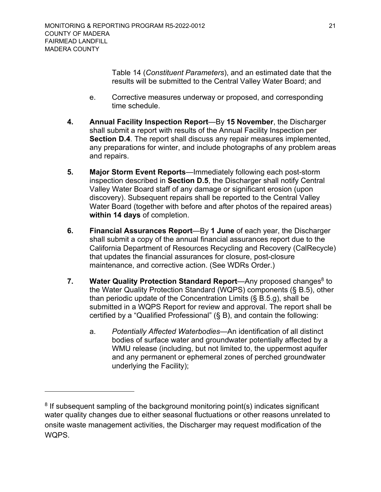Table 14 (*Constituent Parameters*), and an estimated date that the results will be submitted to the Central Valley Water Board; and

- e. Corrective measures underway or proposed, and corresponding time schedule.
- <span id="page-30-0"></span>**4. Annual Facility Inspection Report**—By **15 November**, the Discharger shall submit a report with results of the Annual Facility Inspection per **Section [D.4](#page-25-0)**. The report shall discuss any repair measures implemented, any preparations for winter, and include photographs of any problem areas and repairs.
- <span id="page-30-1"></span>**5. Major Storm Event Reports**—Immediately following each post-storm inspection described in **Section [D.5](#page-25-3)**, the Discharger shall notify Central Valley Water Board staff of any damage or significant erosion (upon discovery). Subsequent repairs shall be reported to the Central Valley Water Board (together with before and after photos of the repaired areas) **within 14 days** of completion.
- <span id="page-30-4"></span><span id="page-30-2"></span>**6. Financial Assurances Report**—By **1 June** of each year, the Discharger shall submit a copy of the annual financial assurances report due to the California Department of Resources Recycling and Recovery (CalRecycle) that updates the financial assurances for closure, post-closure maintenance, and corrective action. (See WDRs Order.)
- <span id="page-30-3"></span>**7. Water Quality Protection Standard Report—Any proposed changes<sup>[8](#page-30-5)</sup> to** the Water Quality Protection Standard (WQPS) components (§ [B.5](#page-18-1)), other than periodic update of the Concentration Limits (§ B.5.g), shall be submitted in a WQPS Report for review and approval. The report shall be certified by a "Qualified Professional" (§ B), and contain the following:
	- a. *Potentially Affected Waterbodies*—An identification of all distinct bodies of surface water and groundwater potentially affected by a WMU release (including, but not limited to, the uppermost aquifer and any permanent or ephemeral zones of perched groundwater underlying the Facility);

<span id="page-30-5"></span> $8$  If subsequent sampling of the background monitoring point(s) indicates significant water quality changes due to either seasonal fluctuations or other reasons unrelated to onsite waste management activities, the Discharger may request modification of the WQPS.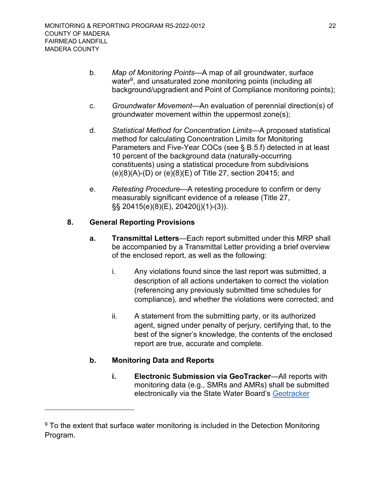- b. *Map of Monitoring Points*—A map of all groundwater, surface water ${\rm ^9}$  ${\rm ^9}$  ${\rm ^9}$ , and unsaturated zone monitoring points (including all background/upgradient and Point of Compliance monitoring points);
- c. *Groundwater Movement*—An evaluation of perennial direction(s) of groundwater movement within the uppermost zone(s);
- d. *Statistical Method for Concentration Limits*—A proposed statistical method for calculating Concentration Limits for Monitoring Parameters and Five-Year COCs (see § [B.5.f\)](#page-19-4) detected in at least 10 percent of the background data (naturally-occurring constituents) using a statistical procedure from subdivisions (e)(8)(A)-(D) or (e)(8)(E) of Title 27, section 20415; and
- e. *Retesting Procedure*—A retesting procedure to confirm or deny measurably significant evidence of a release (Title 27, §§ 20415(e)(8)(E), 20420(j)(1)-(3)).

### <span id="page-31-1"></span><span id="page-31-0"></span>**8. General Reporting Provisions**

- **a. Transmittal Letters**—Each report submitted under this MRP shall be accompanied by a Transmittal Letter providing a brief overview of the enclosed report, as well as the following:
	- i. Any violations found since the last report was submitted, a description of all actions undertaken to correct the violation (referencing any previously submitted time schedules for compliance), and whether the violations were corrected; and
	- ii. A statement from the submitting party, or its authorized agent, signed under penalty of perjury, certifying that, to the best of the signer's knowledge, the contents of the enclosed report are true, accurate and complete.

### <span id="page-31-2"></span>**b. Monitoring Data and Reports**

**i. Electronic Submission via GeoTracker**—All reports with monitoring data (e.g., SMRs and AMRs) shall be submitted electronically via the State Water Board's Geotracker

<span id="page-31-3"></span> $9$  To the extent that surface water monitoring is included in the Detection Monitoring Program.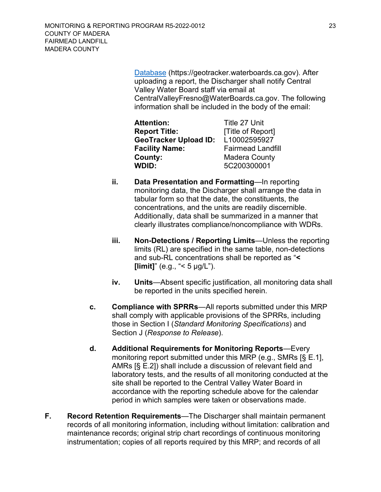Database (https://geotracker.waterboards.ca.gov). After uploading a report, the Discharger shall notify Central Valley Water Board staff via email at CentralValleyFresno@WaterBoards.ca.gov. The following information shall be included in the body of the email:

| <b>Attention:</b>            | Title 27 Unit            |
|------------------------------|--------------------------|
| <b>Report Title:</b>         | [Title of Report]        |
| <b>GeoTracker Upload ID:</b> | L10002595927             |
| <b>Facility Name:</b>        | <b>Fairmead Landfill</b> |
| County:                      | <b>Madera County</b>     |
| WDID:                        | 5C200300001              |

- **ii. Data Presentation and Formatting**—In reporting monitoring data, the Discharger shall arrange the data in tabular form so that the date, the constituents, the concentrations, and the units are readily discernible. Additionally, data shall be summarized in a manner that clearly illustrates compliance/noncompliance with WDRs.
- **iii. Non-Detections / Reporting Limits**—Unless the reporting limits (RL) are specified in the same table, non-detections and sub-RL concentrations shall be reported as "**< [limit]**" (e.g., " $<$  5  $\mu$ g/L").
- **iv. Units**—Absent specific justification, all monitoring data shall be reported in the units specified herein.
- <span id="page-32-0"></span>**c. Compliance with SPRRs**—All reports submitted under this MRP shall comply with applicable provisions of the SPRRs, including those in Section I (*Standard Monitoring Specifications*) and Section J (*Response to Release*).
- <span id="page-32-1"></span>**d. Additional Requirements for Monitoring Reports**—Every monitoring report submitted under this MRP (e.g., SMRs [§ E.1], AMRs [§ E.2]) shall include a discussion of relevant field and laboratory tests, and the results of all monitoring conducted at the site shall be reported to the Central Valley Water Board in accordance with the reporting schedule above for the calendar period in which samples were taken or observations made.
- <span id="page-32-2"></span>**F. Record Retention Requirements**—The Discharger shall maintain permanent records of all monitoring information, including without limitation: calibration and maintenance records; original strip chart recordings of continuous monitoring instrumentation; copies of all reports required by this MRP; and records of all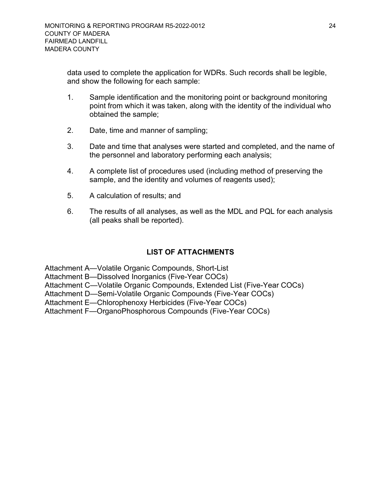data used to complete the application for WDRs. Such records shall be legible, and show the following for each sample:

- 1. Sample identification and the monitoring point or background monitoring point from which it was taken, along with the identity of the individual who obtained the sample;
- 2. Date, time and manner of sampling;
- 3. Date and time that analyses were started and completed, and the name of the personnel and laboratory performing each analysis;
- 4. A complete list of procedures used (including method of preserving the sample, and the identity and volumes of reagents used);
- 5. A calculation of results; and
- 6. The results of all analyses, as well as the MDL and PQL for each analysis (all peaks shall be reported).

### **LIST OF ATTACHMENTS**

Attachment A—Volatile Organic Compounds, Short-List

Attachment B—Dissolved Inorganics (Five-Year COCs)

Attachment C—Volatile Organic Compounds, Extended List (Five-Year COCs)

Attachment D—Semi-Volatile Organic Compounds (Five-Year COCs)

Attachment E—Chlorophenoxy Herbicides (Five-Year COCs)

Attachment F—OrganoPhosphorous Compounds (Five-Year COCs)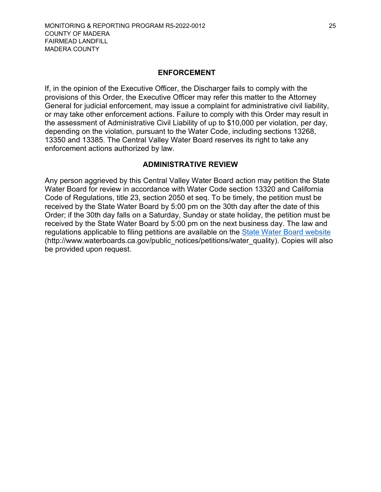#### **ENFORCEMENT**

If, in the opinion of the Executive Officer, the Discharger fails to comply with the provisions of this Order, the Executive Officer may refer this matter to the Attorney General for judicial enforcement, may issue a complaint for administrative civil liability, or may take other enforcement actions. Failure to comply with this Order may result in the assessment of Administrative Civil Liability of up to \$10,000 per violation, per day, depending on the violation, pursuant to the Water Code, including sections 13268, 13350 and 13385. The Central Valley Water Board reserves its right to take any enforcement actions authorized by law.

#### **ADMINISTRATIVE REVIEW**

Any person aggrieved by this Central Valley Water Board action may petition the State Water Board for review in accordance with Water Code section 13320 and California Code of Regulations, title 23, section 2050 et seq. To be timely, the petition must be received by the State Water Board by 5:00 pm on the 30th day after the date of this Order; if the 30th day falls on a Saturday, Sunday or state holiday, the petition must be received by the State Water Board by 5:00 pm on the next business day. The law and regulations applicable to filing petitions are available on the [State Water Board website](http://www.waterboards.ca.gov/public_notices/petitions/water_quality) (http://www.waterboards.ca.gov/public\_notices/petitions/water\_quality). Copies will also be provided upon request.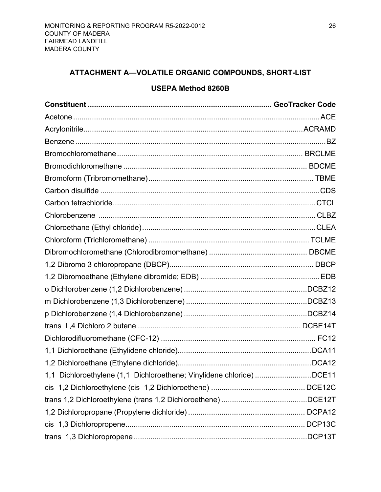# <span id="page-35-0"></span>**ATTACHMENT A—VOLATILE ORGANIC COMPOUNDS, SHORT-LIST**

### **USEPA Method 8260B**

| 1,1 Dichloroethylene (1,1 Dichloroethene; Vinylidene chloride) DCE11 |  |
|----------------------------------------------------------------------|--|
|                                                                      |  |
|                                                                      |  |
|                                                                      |  |
|                                                                      |  |
|                                                                      |  |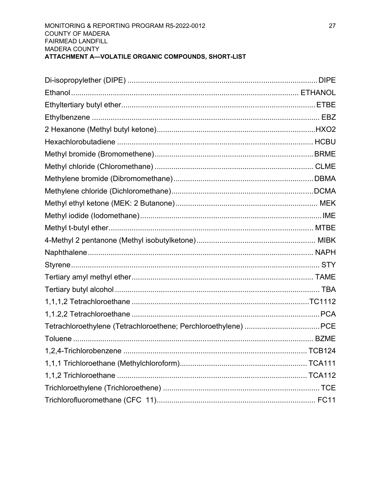#### MONITORING & REPORTING PROGRAM R5-2022-0012 **COUNTY OF MADERA** FAIRMEAD LANDFILL MADERA COUNTY ATTACHMENT A-VOLATILE ORGANIC COMPOUNDS, SHORT-LIST

| TCB124 |
|--------|
|        |
|        |
|        |
|        |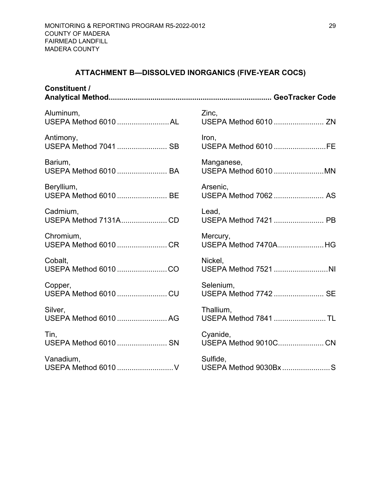# **ATTACHMENT B—DISSOLVED INORGANICS (FIVE-YEAR COCS)**

<span id="page-38-0"></span>

| <b>Constituent /</b>  |                       |
|-----------------------|-----------------------|
| Aluminum,             | Zinc,                 |
| USEPA Method 6010 AL  | USEPA Method 6010  ZN |
| Antimony,             | Iron,                 |
| USEPA Method 7041  SB | USEPA Method 6010 FE  |
| Barium,               | Manganese,            |
| USEPA Method 6010  BA | USEPA Method 6010 MN  |
| Beryllium,            | Arsenic,              |
| USEPA Method 6010  BE | USEPA Method 7062  AS |
| Cadmium,              | Lead,                 |
| USEPA Method 7131ACD  | USEPA Method 7421  PB |
| Chromium,             | Mercury,              |
| USEPA Method 6010 CR  | USEPA Method 7470AHG  |
| Cobalt,               | Nickel,               |
| USEPA Method 6010 CO  | USEPA Method 7521 NI  |
| Copper,               | Selenium,             |
| USEPA Method 6010  CU | USEPA Method 7742  SE |
| Silver,               | Thallium,             |
| USEPA Method 6010  AG | USEPA Method 7841  TL |
| Tin,                  | Cyanide,              |
| USEPA Method 6010  SN | USEPA Method 9010C CN |
| Vanadium,             | Sulfide,              |
|                       | USEPA Method 9030Bx S |
|                       |                       |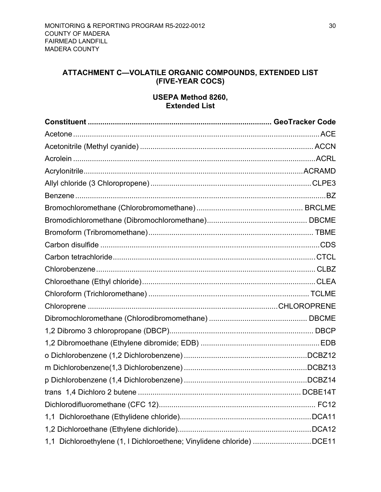# <span id="page-39-0"></span>**ATTACHMENT C—VOLATILE ORGANIC COMPOUNDS, EXTENDED LIST (FIVE-YEAR COCS)**

### **USEPA Method 8260, Extended List**

|                                                                       | $.$ DCBE14T |
|-----------------------------------------------------------------------|-------------|
|                                                                       |             |
|                                                                       |             |
|                                                                       |             |
| 1,1 Dichloroethylene (1, I Dichloroethene; Vinylidene chloride) DCE11 |             |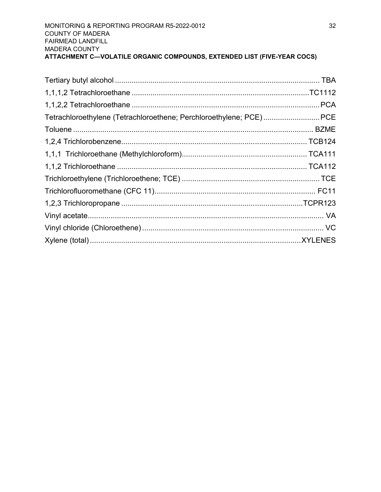| Tetrachloroethylene (Tetrachloroethene; Perchloroethylene; PCE)PCE |  |
|--------------------------------------------------------------------|--|
|                                                                    |  |
|                                                                    |  |
|                                                                    |  |
|                                                                    |  |
|                                                                    |  |
|                                                                    |  |
|                                                                    |  |
|                                                                    |  |
|                                                                    |  |
|                                                                    |  |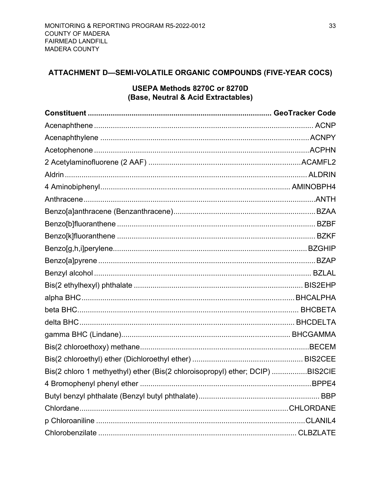# <span id="page-42-0"></span>ATTACHMENT D-SEMI-VOLATILE ORGANIC COMPOUNDS (FIVE-YEAR COCS)

### USEPA Methods 8270C or 8270D (Base, Neutral & Acid Extractables)

| Bis(2 chloro 1 methyethyl) ether (Bis(2 chloroisopropyl) ether; DCIP) BIS2CIE |                |
|-------------------------------------------------------------------------------|----------------|
|                                                                               |                |
|                                                                               |                |
|                                                                               |                |
|                                                                               | <b>CLANIL4</b> |
|                                                                               |                |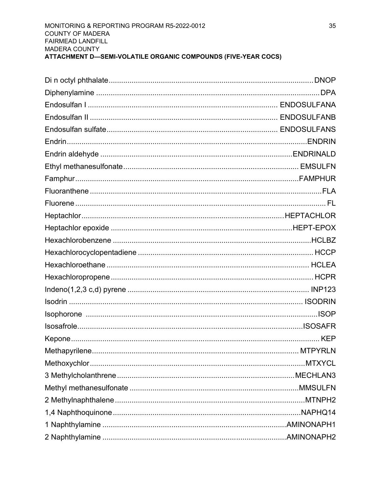#### MONITORING & REPORTING PROGRAM R5-2022-0012 **COUNTY OF MADERA** FAIRMEAD LANDFILL **MADERA COUNTY** ATTACHMENT D-SEMI-VOLATILE ORGANIC COMPOUNDS (FIVE-YEAR COCS)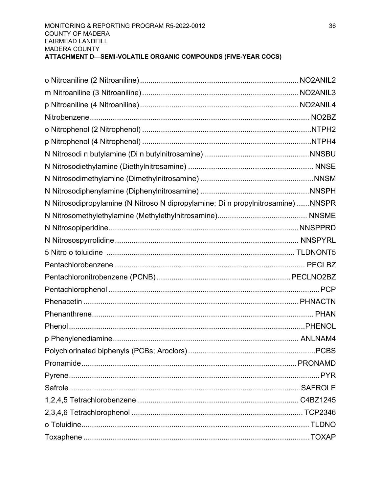| N Nitrosodipropylamine (N Nitroso N dipropylamine; Di n propylnitrosamine) NNSPR |  |
|----------------------------------------------------------------------------------|--|
|                                                                                  |  |
|                                                                                  |  |
|                                                                                  |  |
|                                                                                  |  |
|                                                                                  |  |
|                                                                                  |  |
|                                                                                  |  |
|                                                                                  |  |
|                                                                                  |  |
|                                                                                  |  |
|                                                                                  |  |
|                                                                                  |  |
|                                                                                  |  |
|                                                                                  |  |
|                                                                                  |  |
|                                                                                  |  |
|                                                                                  |  |
|                                                                                  |  |
|                                                                                  |  |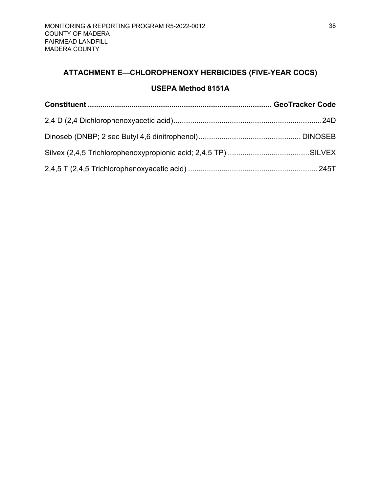# <span id="page-47-0"></span>**ATTACHMENT E—CHLOROPHENOXY HERBICIDES (FIVE-YEAR COCS)**

# **USEPA Method 8151A**